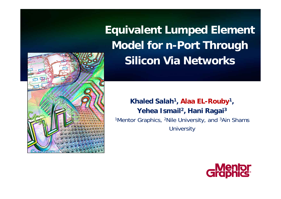**Equivalent Lumped Element Model for n-Port Through Silicon Via Networks**

#### **Khaled Salah1, Alaa EL-Rouby1, Yehea Ismail 2, Hani Ragai 3** <sup>1</sup>Mentor Graphics, <sup>2</sup>Nile University, and <sup>3</sup>Ain Shams **University**



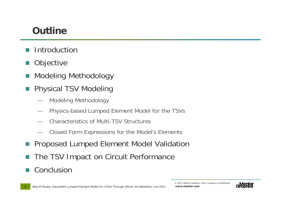### **Outline**

- **Introduction**
- **Objective**
- Modeling Methodology
- Physical TSV Modeling
	- Modeling Methodology
	- Physics-based Lumped Element Model for the TSVs
	- Characteristics of Multi-TSV Structures
	- Closed Form Expressions for the Model's Elements
- Proposed Lumped Element Model Validation
- The TSV Impact on Circuit Performance
- Conclusion

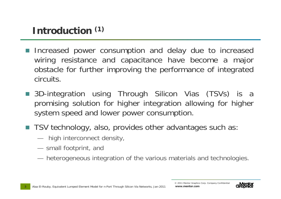## **Introduction (1)**

- Increased power consumption and delay due to increased wiring resistance and capacitance have become a major obstacle for further improving the performance of integrated circuits.
- 3D-integration using Through Silicon Vias (TSVs) is a promising solution for higher integration allowing for higher system speed and lower power consumption.
- TSV technology, also, provides other advantages such as:
	- high interconnect density,
	- small footprint, and
	- heterogeneous integration of the various materials and technologies.

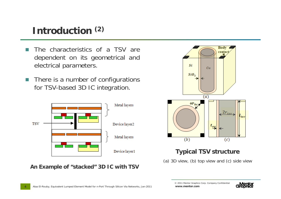### **Introduction (2)**

- The characteristics of a TSV are dependent on its geometrical and electrical parameters.
- There is a number of configurations for TSV-based 3D IC integration.



**An Example of "stacked" 3D IC with TSV**



#### **Typical TSV structure**

(a) 3D view, (b) top view and (c) side view

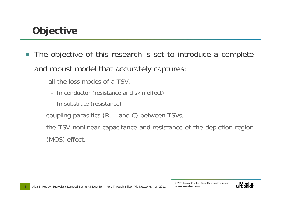### **Objective**

- The objective of this research is set to introduce a complete and robust model that accurately captures:
	- all the loss modes of a TSV,
		- In conductor (resistance and skin effect)
		- In substrate (resistance)
	- coupling parasitics (R, L and C) between TSVs,
	- the TSV nonlinear capacitance and resistance of the depletion region (MOS) effect.

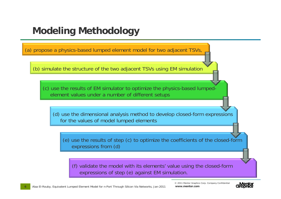### **Modeling Methodology**

(a) propose a physics-based lumped element model for two adjacent TSVs,

(b) simulate the structure of the two adjacent TSVs using EM simulation

(c) use the results of EM simulator to optimize the physics-based lumpedelement values under a number of different setups

(d) use the dimensional analysis method to develop closed-form expressions for the values of model lumped elements

(e) use the results of step (c) to optimize the coefficients of the closed-form expressions from (d)

(f) validate the model with its elements' value using the closed-form expressions of step (e) against EM simulation.

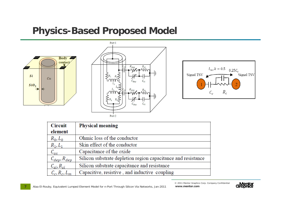#### **Physics-Based Proposed Model**



**7**





| <b>Circuit</b>              | <b>Physical meaning</b>                                       |
|-----------------------------|---------------------------------------------------------------|
| element                     |                                                               |
| $R_0, L_0$                  | Ohmic loss of the conductor                                   |
| $R_1, L_1$                  | Skin effect of the conductor                                  |
| $\mathcal{C}_{ox}$          | Capacitance of the oxide                                      |
| $C_{dep}$ , $R_{dep}$       | Silicon substrate depletion region capacitance and resistance |
| $C_{\rm si}$ , $R_{\rm si}$ | Silicon substrate capacitance and resistance                  |
| $C_c, R_c, L_m$             | Capacitive, resistive, and inductive coupling                 |

Alaa El-Rouby, Equivalent Lumped Element Model for n-Port Through Silicon Via Networks, Jan-2011

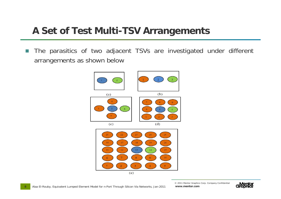#### **A Set of Test Multi-TSV Arrangements**

m. The parasitics of two adjacent TSVs are investigated under different arrangements as shown below



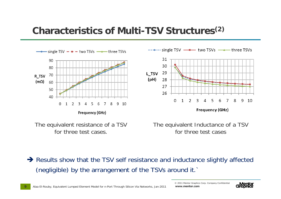#### **Characteristics of Multi-TSV Structures(2)**



The equivalent resistance of a TSV for three test cases.

The equivalent Inductance of a TSV for three test cases

 $\rightarrow$  Results show that the TSV self resistance and inductance slightly affected (negligible) by the arrangement of the TSVs around it.`

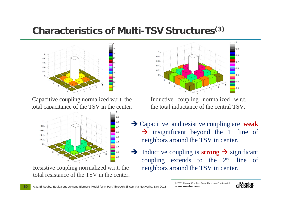#### **Characteristics of Multi-TSV Structures(3)**



Capacitive coupling normalized w.r.t. the total capacitance of the TSV in the center.



Resistive coupling normalized w.r.t. the total resistance of the TSV in the center.



Inductive coupling normalized w.r.t. the total inductance of the central TSV.

- $\rightarrow$  Capacitive and resistive coupling are **weak**  $\rightarrow$  insignificant beyond the 1<sup>st</sup> line of neighbors around the TSV in center.
- $\rightarrow$  Inductive coupling is **strong**  $\rightarrow$  significant coupling extends to the 2nd line of neighbors around the TSV in center.

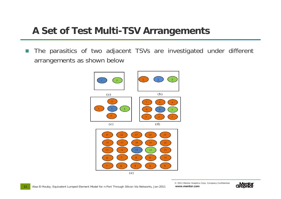#### **A Set of Test Multi-TSV Arrangements**

m. The parasitics of two adjacent TSVs are investigated under different arrangements as shown below



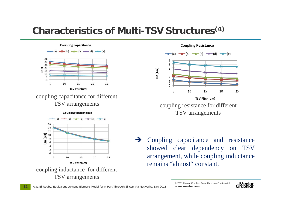#### **Characteristics of Multi-TSV Structures(4)**

**Coupling capacitance**  $-\blacksquare$  (b)  $\rightarrow$  (c)  $\rightarrow$  (d)  $\rightarrow$  (e) 35 30 25  $\begin{array}{c}\n\overline{45} \\
\overline{520} \\
\overline{545}\n\end{array}$  $10$ 5  $\Omega$ 10 25 5 15 20 TSV Pitch(um)

# coupling capacitance for different



coupling inductance for different TSV arrangements

**Coupling Resistance** 



TSV arrangements coupling resistance for different TSV arrangements

> $\rightarrow$  Coupling capacitance and resistance showed clear dependency on TSV arrangement, while coupling inductance remains "almost" constant.

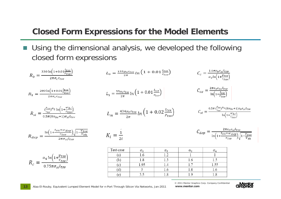#### **Closed Form Expressions for the Model Elements**

F Using the dimensional analysis, we developed the following closed form expressions

$$
R_{0} = \frac{330 \ln(1+0.01 \frac{l_{tsv}}{r_{tsv}})}{2\pi \sigma_{c} r_{tsv}}
$$
\n
$$
R_{1} = \frac{200 \ln(1+0.01 \frac{l_{tsv}}{r_{tsv}})}{2\pi \sigma_{c} r_{tsv}}
$$
\n
$$
R_{2} = \frac{200 \ln(1+0.01 \frac{l_{tsv}}{r_{tsv}})}{2\pi \sigma_{c} r_{tsv}}
$$
\n
$$
R_{3} = \frac{\left(\frac{l_{tsv}}{r_{tsv}}\right)^{2} \ln(1+\frac{w_{bc}}{r_{tsv}})}{2\pi \sigma_{c} r_{tsv}}
$$
\n
$$
R_{4} = \frac{434 \mu_{0} r_{tsv}}{2\pi}
$$
\n
$$
R_{5} = \frac{43 \mu_{0} r_{tsv}}{2\pi \sigma_{c} r_{tsv}}
$$
\n
$$
R_{6} = \frac{\ln(1+\frac{t_{ox}+w_{dc}}{r_{tsv}})}{2\pi \sigma_{s} l_{tsv}}
$$
\n
$$
R_{7} = \frac{43 \mu_{0} r_{tsv}}{2\pi}
$$
\n
$$
R_{8} = \frac{1}{2\pi}
$$
\n
$$
R_{9} = \frac{\ln(1+\frac{t_{ox}+w_{dc}}{r_{tsv}})\sqrt{1-\frac{V_{tsv}}{V_{tsv}}}}{2\pi \sigma_{s} l_{tsv}}
$$
\n
$$
R_{1} = \frac{43 \mu_{0} r_{tsv}}{2\pi}
$$
\n
$$
R_{2} = \frac{1}{2\pi}
$$
\n
$$
R_{3} = \frac{1}{2\pi}
$$
\n
$$
R_{4} = \frac{1}{2\pi}
$$
\n
$$
R_{5} = \frac{2\pi c_{0} c_{s} l_{tsv}}{\sqrt{1-\frac{V_{tsv}}{V_{tsv}}}}
$$
\n
$$
R_{6} = \frac{2\pi c_{0} c_{s} l_{tsv}}{\sqrt{1-\frac{V_{tsv}}{V_{tsv}}}}
$$
\n
$$
R_{7} = \frac{43 \mu_{0} r_{tsv}}{2\pi}
$$
\n
$$
R_{8} = \frac{1}{2\pi}
$$
\n

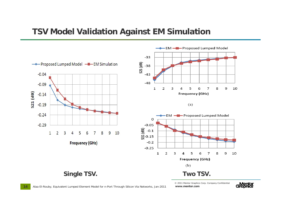#### **TSV Model Validation Against EM Simulation**



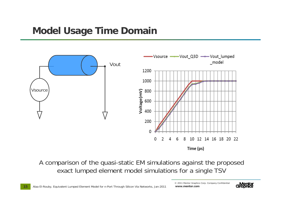#### **Model Usage Time Domain**



A comparison of the quasi-static EM simulations against the proposed exact lumped element model simulations for a single TSV

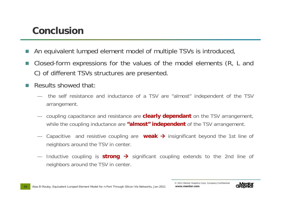#### **Conclusion**

- An equivalent lumped element model of multiple TSVs is introduced,
- Closed-form expressions for the values of the model elements (R, L and C) of different TSVs structures are presented.
- Results showed that:
	- the self resistance and inductance of a TSV are "almost" independent of the TSV arrangement.
	- coupling capacitance and resistance are **clearly dependant** on the TSV arrangement, while the coupling inductance are **"almost" independent** of the TSV arrangement.
	- Capacitive and resistive coupling are weak → insignificant beyond the 1st line of neighbors around the TSV in center.
	- Inductive coupling is  $strong$   $\rightarrow$  significant coupling extends to the 2nd line of neighbors around the TSV in center.